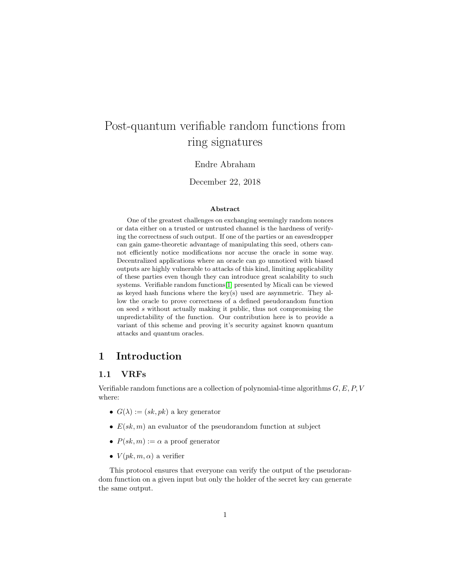# Post-quantum verifiable random functions from ring signatures

#### Endre Abraham

#### December 22, 2018

#### Abstract

One of the greatest challenges on exchanging seemingly random nonces or data either on a trusted or untrusted channel is the hardness of verifying the correctness of such output. If one of the parties or an eavesdropper can gain game-theoretic advantage of manipulating this seed, others cannot efficiently notice modifications nor accuse the oracle in some way. Decentralized applications where an oracle can go unnoticed with biased outputs are highly vulnerable to attacks of this kind, limiting applicability of these parties even though they can introduce great scalability to such systems. Verifiable random functions[\[1\]](#page-5-0) presented by Micali can be viewed as keyed hash funcions where the key(s) used are asymmetric. They allow the oracle to prove correctness of a defined pseudorandom function on seed s without actually making it public, thus not compromising the unpredictability of the function. Our contribution here is to provide a variant of this scheme and proving it's security against known quantum attacks and quantum oracles.

# 1 Introduction

### 1.1 VRFs

Verifiable random functions are a collection of polynomial-time algorithms  $G, E, P, V$ where:

- $G(\lambda) := (sk, pk)$  a key generator
- $E(sk, m)$  an evaluator of the pseudorandom function at subject
- $P(sk, m) := \alpha$  a proof generator
- $V(pk, m, \alpha)$  a verifier

This protocol ensures that everyone can verify the output of the pseudorandom function on a given input but only the holder of the secret key can generate the same output.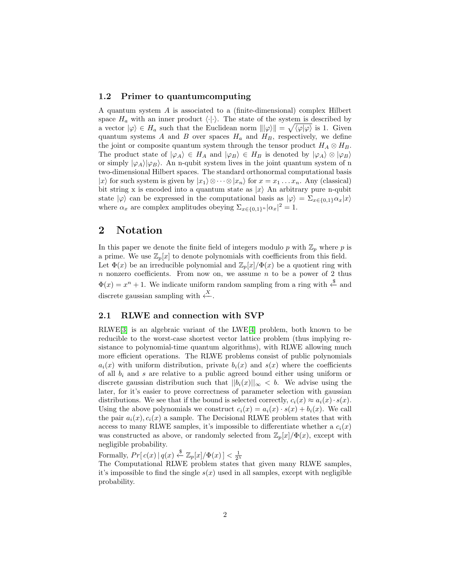#### 1.2 Primer to quantumcomputing

A quantum system A is associated to a (finite-dimensional) complex Hilbert space  $H_a$  with an inner product  $\langle \cdot | \cdot \rangle$ . The state of the system is described by a vector  $|\varphi\rangle \in H_a$  such that the Euclidean norm  $\|\varphi\rangle\| = \sqrt{\langle \varphi | \varphi \rangle}$  is 1. Given quantum systems A and B over spaces  $H_a$  and  $H_B$ , respectively, we define the joint or composite quantum system through the tensor product  $H_A \otimes H_B$ . The product state of  $|\varphi_A\rangle \in H_A$  and  $|\varphi_B\rangle \in H_B$  is denoted by  $|\varphi_A\rangle \otimes |\varphi_B\rangle$ or simply  $|\varphi_A\rangle|\varphi_B\rangle$ . An n-qubit system lives in the joint quantum system of n two-dimensional Hilbert spaces. The standard orthonormal computational basis |xi for such system is given by  $|x_1\rangle \otimes \cdots \otimes |x_n\rangle$  for  $x = x_1 \ldots x_n$ . Any (classical) bit string x is encoded into a quantum state as  $|x\rangle$  An arbitrary pure n-qubit state  $|\varphi\rangle$  can be expressed in the computational basis as  $|\varphi\rangle = \sum_{x \in \{0,1\}} \alpha_x |x\rangle$ where  $\alpha_x$  are complex amplitudes obeying  $\sum_{x \in \{0,1\}^n} |\alpha_x|^2 = 1$ .

# 2 Notation

In this paper we denote the finite field of integers modulo p with  $\mathbb{Z}_p$  where p is a prime. We use  $\mathbb{Z}_p[x]$  to denote polynomials with coefficients from this field. Let  $\Phi(x)$  be an irreducible polynomial and  $\mathbb{Z}_p[x]/\Phi(x)$  be a quotient ring with  $n$  nonzero coefficients. From now on, we assume  $n$  to be a power of 2 thus  $\Phi(x) = x^n + 1$ . We indicate uniform random sampling from a ring with  $\stackrel{\$}{\leftarrow}$  and discrete gaussian sampling with  $\stackrel{X}{\leftarrow}$ .

#### 2.1 RLWE and connection with SVP

RLWE[\[3\]](#page-6-0) is an algebraic variant of the LWE[\[4\]](#page-6-1) problem, both known to be reducible to the worst-case shortest vector lattice problem (thus implying resistance to polynomial-time quantum algorithms), with RLWE allowing much more efficient operations. The RLWE problems consist of public polynomials  $a_i(x)$  with uniform distribution, private  $b_i(x)$  and  $s(x)$  where the coefficients of all  $b_i$  and s are relative to a public agreed bound either using uniform or discrete gaussian distribution such that  $||b_i(x)||_{\infty} < b$ . We advise using the later, for it's easier to prove correctness of parameter selection with gaussian distributions. We see that if the bound is selected correctly,  $c_i(x) \approx a_i(x) \cdot s(x)$ . Using the above polynomials we construct  $c_i(x) = a_i(x) \cdot s(x) + b_i(x)$ . We call the pair  $a_i(x), c_i(x)$  a sample. The Decisional RLWE problem states that with access to many RLWE samples, it's impossible to differentiate whether a  $c_i(x)$ was constructed as above, or randomly selected from  $\mathbb{Z}_p[x]/\Phi(x)$ , except with negligible probability.

Formally,  $Pr[c(x) | q(x) \stackrel{\$}{\leftarrow} \mathbb{Z}_p[x]/\Phi(x)] < \frac{1}{2^{\lambda}}$ 

The Computational RLWE problem states that given many RLWE samples, it's impossible to find the single  $s(x)$  used in all samples, except with negligible probability.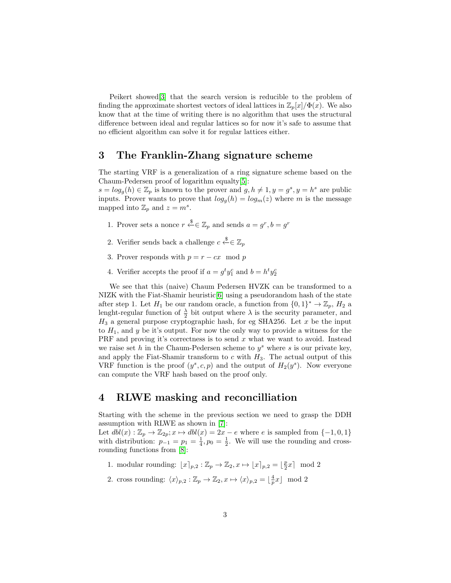Peikert showed[\[3\]](#page-6-0) that the search version is reducible to the problem of finding the approximate shortest vectors of ideal lattices in  $\mathbb{Z}_p[x]/\Phi(x)$ . We also know that at the time of writing there is no algorithm that uses the structural difference between ideal and regular lattices so for now it's safe to assume that no efficient algorithm can solve it for regular lattices either.

## 3 The Franklin-Zhang signature scheme

The starting VRF is a generalization of a ring signature scheme based on the Chaum-Pedersen proof of logarithm equalty[\[5\]](#page-6-2):

 $s = log<sub>g</sub>(h) \in \mathbb{Z}_p$  is known to the prover and  $g, h \neq 1, y = g<sup>s</sup>, y = h<sup>s</sup>$  are public inputs. Prover wants to prove that  $log_q(h) = log_m(z)$  where m is the message mapped into  $\mathbb{Z}_p$  and  $z = m^s$ .

- 1. Prover sets a nonce  $r \stackrel{\$}{\leftarrow} \in \mathbb{Z}_p$  and sends  $a = g^r, b = g^r$
- 2. Verifier sends back a challenge  $c \stackrel{\$}{\leftarrow} \in \mathbb{Z}_p$
- 3. Prover responds with  $p = r cx \mod p$
- 4. Verifier accepts the proof if  $a = g^t y_1^c$  and  $b = h^t y_2^c$

We see that this (naive) Chaum Pedersen HVZK can be transformed to a NIZK with the Fiat-Shamir heuristic<sup>[\[6\]](#page-6-3)</sup> using a pseudorandom hash of the state after step 1. Let  $H_1$  be our random oracle, a function from  $\{0,1\}^* \to \mathbb{Z}_p$ ,  $H_2$  a lenght-regular function of  $\frac{\lambda}{2}$  bit output where  $\lambda$  is the security parameter, and  $H_3$  a general purpose cryptographic hash, for eg SHA256. Let x be the input to  $H_1$ , and y be it's output. For now the only way to provide a witness for the PRF and proving it's correctness is to send x what we want to avoid. Instead we raise set h in the Chaum-Pedersen scheme to  $y^s$  where s is our private key, and apply the Fiat-Shamir transform to  $c$  with  $H_3$ . The actual output of this VRF function is the proof  $(y^s, c, p)$  and the output of  $H_2(y^s)$ . Now everyone can compute the VRF hash based on the proof only.

### 4 RLWE masking and reconcilliation

Starting with the scheme in the previous section we need to grasp the DDH assumption with RLWE as shown in [\[7\]](#page-6-4):

Let  $dbl(x):\mathbb{Z}_p\rightarrow \mathbb{Z}_{2p}; x\mapsto dbl(x)=2x-e$  where e is sampled from  $\{-1,0,1\}$ with distribution:  $p_{-1} = p_1 = \frac{1}{4}, p_0 = \frac{1}{2}$ . We will use the rounding and crossrounding functions from [\[8\]](#page-6-5):

- 1. modular rounding:  $\lfloor x \rceil_{p,2} : \mathbb{Z}_p \to \mathbb{Z}_2, x \mapsto \lfloor x \rceil_{p,2} = \lfloor \frac{p}{2} x \rceil \mod 2$
- 2. cross rounding:  $\langle x \rangle_{p,2} : \mathbb{Z}_p \to \mathbb{Z}_2, x \mapsto \langle x \rangle_{p,2} = \lfloor \frac{4}{p} x \rfloor \mod 2$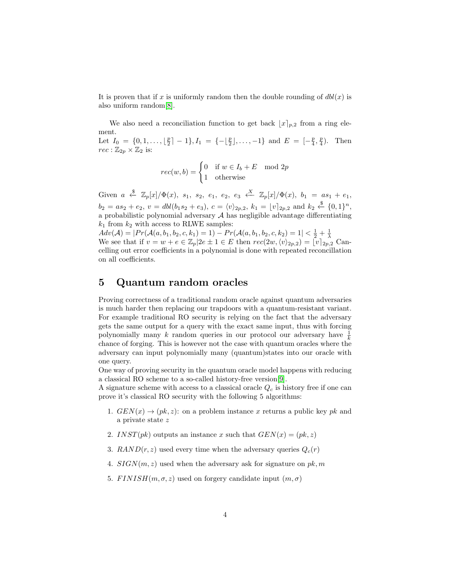It is proven that if x is uniformly random then the double rounding of  $dbl(x)$  is also uniform random[\[8\]](#page-6-5).

We also need a reconciliation function to get back  $|x|_{p,2}$  from a ring element. Let  $I_0 = \{0, 1, \ldots, \lfloor \frac{p}{2} \rfloor - 1\}, I_1 = \{-\lfloor \frac{p}{2} \rfloor, \ldots, -1\}$  and  $E = \lfloor -\frac{p}{4}, \frac{p}{4} \rfloor$ . Then  $rec: \mathbb{Z}_{2p} \times \mathbb{Z}_2$  is:

$$
rec(w, b) = \begin{cases} 0 & \text{if } w \in I_b + E \mod 2p \\ 1 & \text{otherwise} \end{cases}
$$

Given  $a \stackrel{\$}{\leftarrow} \mathbb{Z}_p[x]/\Phi(x)$ ,  $s_1$ ,  $s_2$ ,  $e_1$ ,  $e_2$ ,  $e_3 \stackrel{X}{\leftarrow} \mathbb{Z}_p[x]/\Phi(x)$ ,  $b_1 = as_1 + e_1$ ,  $b_2 = as_2 + e_2, v = \frac{dbl(b_1s_2 + e_3)}{c}$ ,  $c = \langle v \rangle_{2p,2}, k_1 = \lfloor v \rceil_{2p,2}$  and  $k_2 \stackrel{\$}{\leftarrow} \{0,1\}^n$ , a probabilistic polynomial adversary  $A$  has negligible advantage differentiating  $k_1$  from  $k_2$  with access to RLWE samples:

 $Adv(\mathcal{A}) = | Pr(\mathcal{A}(a, b_1, b_2, c, k_1) = 1) - Pr(\mathcal{A}(a, b_1, b_2, c, k_2) = 1 | < \frac{1}{2} + \frac{1}{\lambda})$ We see that if  $v = w + e \in \mathbb{Z}_p | 2e \pm 1 \in E$  then  $rec(2w, \langle v \rangle_{2p,2}) = \overline{v} \overline{z}_{2p,2}$  Cancelling out error coefficients in a polynomial is done with repeated reconcillation on all coefficients.

# 5 Quantum random oracles

Proving correctness of a traditional random oracle against quantum adversaries is much harder then replacing our trapdoors with a quantum-resistant variant. For example traditional RO security is relying on the fact that the adversary gets the same output for a query with the exact same input, thus with forcing polynomially many k random queries in our protocol our adversary have  $\frac{1}{k}$ chance of forging. This is however not the case with quantum oracles where the adversary can input polynomially many (quantum)states into our oracle with one query.

One way of proving security in the quantum oracle model happens with reducing a classical RO scheme to a so-called history-free version[\[9\]](#page-6-6).

A signature scheme with access to a classical oracle  $Q_c$  is history free if one can prove it's classical RO security with the following 5 algorithms:

- 1.  $GEN(x) \rightarrow (pk, z)$ : on a problem instance x returns a public key pk and a private state z
- 2. INST(pk) outputs an instance x such that  $GEN(x) = (pk, z)$
- 3.  $RAND(r, z)$  used every time when the adversary queries  $Q_c(r)$
- 4.  $SIGN(m, z)$  used when the adversary ask for signature on pk, m
- 5.  $FINISH(m, \sigma, z)$  used on forgery candidate input  $(m, \sigma)$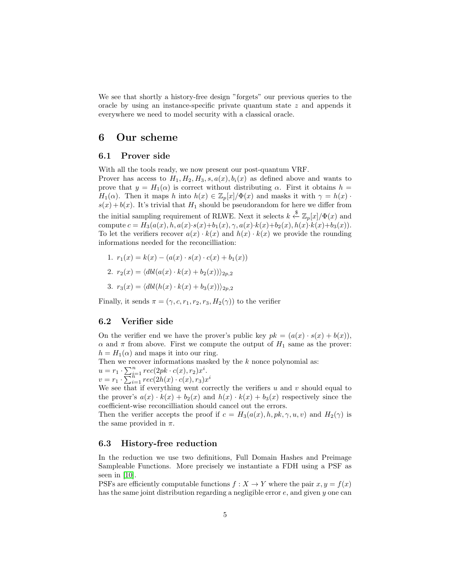We see that shortly a history-free design "forgets" our previous queries to the oracle by using an instance-specific private quantum state z and appends it everywhere we need to model security with a classical oracle.

### 6 Our scheme

#### 6.1 Prover side

With all the tools ready, we now present our post-quantum VRF. Prover has access to  $H_1, H_2, H_3, s, a(x), b_i(x)$  as defined above and wants to prove that  $y = H_1(\alpha)$  is correct without distributing  $\alpha$ . First it obtains  $h =$  $H_1(\alpha)$ . Then it maps h into  $h(x) \in \mathbb{Z}_p[x]/\Phi(x)$  and masks it with  $\gamma = h(x)$ .  $s(x) + b(x)$ . It's trivial that  $H_1$  should be pseudorandom for here we differ from the initial sampling requirement of RLWE. Next it selects  $k \stackrel{\$}{\leftarrow} \mathbb{Z}_p[x]/\Phi(x)$  and compute  $c = H_3(a(x), h, a(x) \cdot s(x) + b_1(x), \gamma, a(x) \cdot k(x) + b_2(x), h(x) \cdot k(x) + b_3(x)).$ To let the verifiers recover  $a(x) \cdot k(x)$  and  $h(x) \cdot k(x)$  we provide the rounding informations needed for the reconcilliation:

1.  $r_1(x) = k(x) - (a(x) \cdot s(x) \cdot c(x) + b_1(x))$ 

$$
2. r_2(x) = \langle \text{dbl}(a(x) \cdot k(x) + b_2(x)) \rangle_{2p,2}
$$

3. 
$$
r_3(x) = \langle \text{dbl}(h(x) \cdot k(x) + b_3(x)) \rangle_{2p,2}
$$

Finally, it sends  $\pi = (\gamma, c, r_1, r_2, r_3, H_2(\gamma))$  to the verifier

#### 6.2 Verifier side

On the verifier end we have the prover's public key  $pk = (a(x) \cdot s(x) + b(x)),$  $\alpha$  and  $\pi$  from above. First we compute the output of  $H_1$  same as the prover:  $h = H_1(\alpha)$  and maps it into our ring.

Then we recover informations masked by the  $k$  nonce polynomial as:

 $u = r_1 \cdot \sum_{i=1}^n rec(2pk \cdot c(x), r_2)x^i.$  $v = r_1 \cdot \sum_{i=1}^{n} rec(2h(x) \cdot c(x), r_3) x^i$ 

We see that if everything went correctly the verifiers  $u$  and  $v$  should equal to the prover's  $a(x) \cdot k(x) + b_2(x)$  and  $h(x) \cdot k(x) + b_3(x)$  respectively since the coefficient-wise reconcilliation should cancel out the errors.

Then the verifier accepts the proof if  $c = H_3(a(x), h, pk, \gamma, u, v)$  and  $H_2(\gamma)$  is the same provided in  $\pi$ .

#### 6.3 History-free reduction

In the reduction we use two definitions, Full Domain Hashes and Preimage Sampleable Functions. More precisely we instantiate a FDH using a PSF as seen in [\[10\]](#page-6-7).

PSFs are efficiently computable functions  $f : X \to Y$  where the pair  $x, y = f(x)$ has the same joint distribution regarding a negligible error e, and given y one can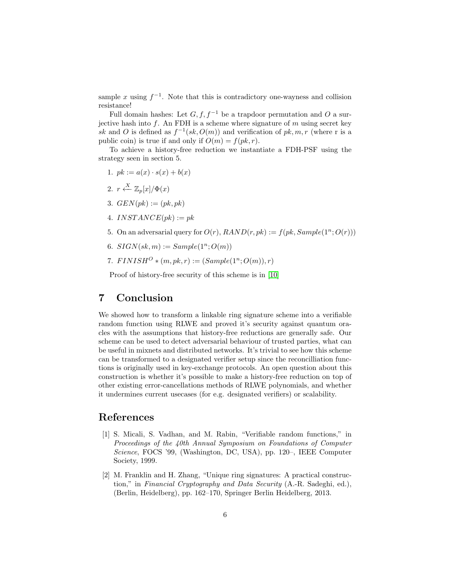sample x using  $f^{-1}$ . Note that this is contradictory one-wayness and collision resistance!

Full domain hashes: Let  $G, f, f^{-1}$  be a trapdoor permutation and O a surjective hash into  $f$ . An FDH is a scheme where signature of  $m$  using secret key sk and O is defined as  $f^{-1}(sk, O(m))$  and verification of  $pk, m, r$  (where r is a public coin) is true if and only if  $O(m) = f(pk, r)$ .

To achieve a history-free reduction we instantiate a FDH-PSF using the strategy seen in section 5.

- 1.  $pk := a(x) \cdot s(x) + b(x)$
- 2.  $r \stackrel{X}{\longleftarrow} \mathbb{Z}_p[x]/\Phi(x)$
- 3.  $GEN(pk) := (pk, pk)$
- 4. INSTANCE $(pk) := pk$
- 5. On an adversarial query for  $O(r)$ ,  $RAND(r, pk) := f(pk, Sample(1^n; O(r)))$
- 6.  $SIGN(sk, m) := Sample(1^n; O(m))$
- 7.  $FINISH^{O} * (m, pk, r) := (Sample(1<sup>n</sup>; O(m)), r)$

Proof of history-free security of this scheme is in [\[10\]](#page-6-7)

## 7 Conclusion

We showed how to transform a linkable ring signature scheme into a verifiable random function using RLWE and proved it's security against quantum oracles with the assumptions that history-free reductions are generally safe. Our scheme can be used to detect adversarial behaviour of trusted parties, what can be useful in mixnets and distributed networks. It's trivial to see how this scheme can be transformed to a designated verifier setup since the reconcilliation functions is originally used in key-exchange protocols. An open question about this construction is whether it's possible to make a history-free reduction on top of other existing error-cancellations methods of RLWE polynomials, and whether it undermines current usecases (for e.g. designated verifiers) or scalability.

### References

- <span id="page-5-0"></span>[1] S. Micali, S. Vadhan, and M. Rabin, "Verifiable random functions," in Proceedings of the 40th Annual Symposium on Foundations of Computer Science, FOCS '99, (Washington, DC, USA), pp. 120–, IEEE Computer Society, 1999.
- [2] M. Franklin and H. Zhang, "Unique ring signatures: A practical construction," in Financial Cryptography and Data Security (A.-R. Sadeghi, ed.), (Berlin, Heidelberg), pp. 162–170, Springer Berlin Heidelberg, 2013.